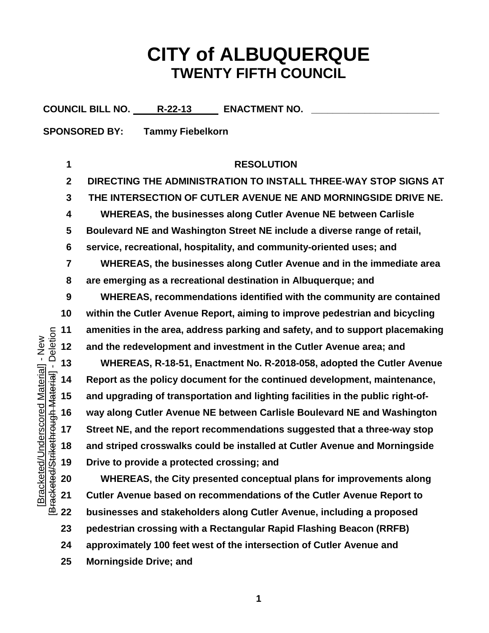## **CITY of ALBUQUERQUE TWENTY FIFTH COUNCIL**

COUNCIL BILL NO. R-22-13 **ENACTMENT NO.** 

**SPONSORED BY: Tammy Fiebelkorn** 

## **RESOLUTION**

 **DIRECTING THE ADMINISTRATION TO INSTALL THREE-WAY STOP SIGNS AT THE INTERSECTION OF CUTLER AVENUE NE AND MORNINGSIDE DRIVE NE. WHEREAS, the businesses along Cutler Avenue NE between Carlisle Boulevard NE and Washington Street NE include a diverse range of retail, service, recreational, hospitality, and community-oriented uses; and**

 **WHEREAS, the businesses along Cutler Avenue and in the immediate area are emerging as a recreational destination in Albuquerque; and**

 **WHEREAS, recommendations identified with the community are contained within the Cutler Avenue Report, aiming to improve pedestrian and bicycling amenities in the area, address parking and safety, and to support placemaking and the redevelopment and investment in the Cutler Avenue area; and**

 **WHEREAS, R-18-51, Enactment No. R-2018-058, adopted the Cutler Avenue Report as the policy document for the continued development, maintenance, and upgrading of transportation and lighting facilities in the public right-of- way along Cutler Avenue NE between Carlisle Boulevard NE and Washington Street NE, and the report recommendations suggested that a three-way stop and striped crosswalks could be installed at Cutler Avenue and Morningside Drive to provide a protected crossing; and**

 **WHEREAS, the City presented conceptual plans for improvements along Cutler Avenue based on recommendations of the Cutler Avenue Report to businesses and stakeholders along Cutler Avenue, including a proposed pedestrian crossing with a Rectangular Rapid Flashing Beacon (RRFB) approximately 100 feet west of the intersection of Cutler Avenue and Morningside Drive; and**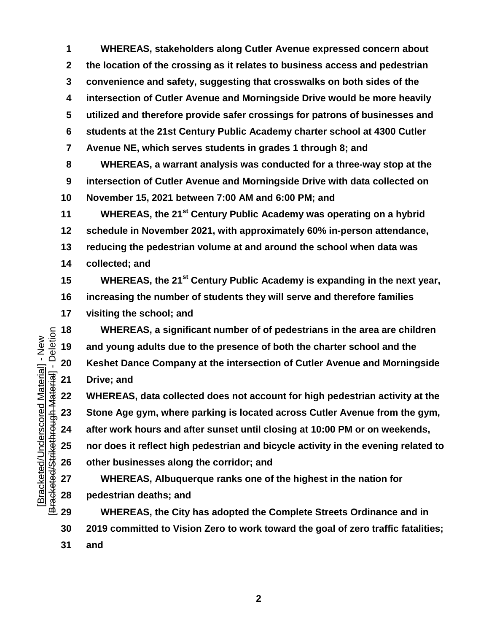**WHEREAS, stakeholders along Cutler Avenue expressed concern about the location of the crossing as it relates to business access and pedestrian convenience and safety, suggesting that crosswalks on both sides of the intersection of Cutler Avenue and Morningside Drive would be more heavily utilized and therefore provide safer crossings for patrons of businesses and students at the 21st Century Public Academy charter school at 4300 Cutler Avenue NE, which serves students in grades 1 through 8; and WHEREAS, a warrant analysis was conducted for a three-way stop at the** 

 **intersection of Cutler Avenue and Morningside Drive with data collected on November 15, 2021 between 7:00 AM and 6:00 PM; and**

**WHEREAS, the 21st Century Public Academy was operating on a hybrid schedule in November 2021, with approximately 60% in-person attendance, reducing the pedestrian volume at and around the school when data was collected; and**

**WHEREAS, the 21st Century Public Academy is expanding in the next year,** 

 **increasing the number of students they will serve and therefore families visiting the school; and**

 **and young adults due to the presence of both the charter school and the Keshet Dance Company at the intersection of Cutler Avenue and Morningside Drive; and**

 **WHEREAS, a significant number of of pedestrians in the area are children**<br> **18 20 Keshet Dance Company at the intersection of Cutler Avenue and Morningside**<br> **19 19 Company at the intersection of Cutler Avenu WHEREAS, data collected does not account for high pedestrian activity at the Stone Age gym, where parking is located across Cutler Avenue from the gym, after work hours and after sunset until closing at 10:00 PM or on weekends, nor does it reflect high pedestrian and bicycle activity in the evening related to other businesses along the corridor; and** 

 **WHEREAS, Albuquerque ranks one of the highest in the nation for pedestrian deaths; and**

 **WHEREAS, the City has adopted the Complete Streets Ordinance and in 2019 committed to Vision Zero to work toward the goal of zero traffic fatalities; and**